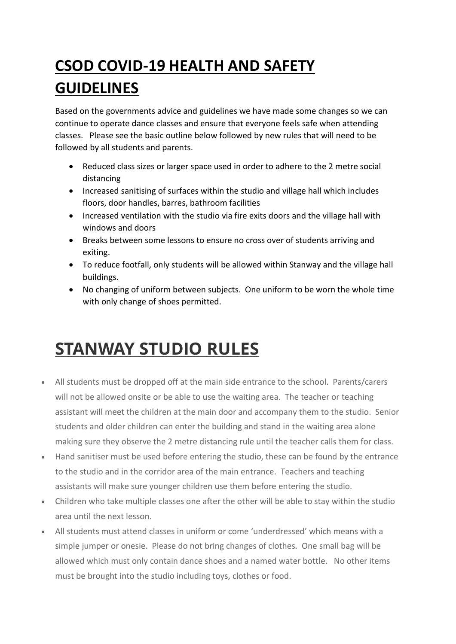## **CSOD COVID-19 HEALTH AND SAFETY GUIDELINES**

Based on the governments advice and guidelines we have made some changes so we can continue to operate dance classes and ensure that everyone feels safe when attending classes. Please see the basic outline below followed by new rules that will need to be followed by all students and parents.

- Reduced class sizes or larger space used in order to adhere to the 2 metre social distancing
- Increased sanitising of surfaces within the studio and village hall which includes floors, door handles, barres, bathroom facilities
- Increased ventilation with the studio via fire exits doors and the village hall with windows and doors
- Breaks between some lessons to ensure no cross over of students arriving and exiting.
- To reduce footfall, only students will be allowed within Stanway and the village hall buildings.
- No changing of uniform between subjects. One uniform to be worn the whole time with only change of shoes permitted.

## **STANWAY STUDIO RULES**

- All students must be dropped off at the main side entrance to the school. Parents/carers will not be allowed onsite or be able to use the waiting area. The teacher or teaching assistant will meet the children at the main door and accompany them to the studio. Senior students and older children can enter the building and stand in the waiting area alone making sure they observe the 2 metre distancing rule until the teacher calls them for class.
- Hand sanitiser must be used before entering the studio, these can be found by the entrance to the studio and in the corridor area of the main entrance. Teachers and teaching assistants will make sure younger children use them before entering the studio.
- Children who take multiple classes one after the other will be able to stay within the studio area until the next lesson.
- All students must attend classes in uniform or come 'underdressed' which means with a simple jumper or onesie. Please do not bring changes of clothes. One small bag will be allowed which must only contain dance shoes and a named water bottle. No other items must be brought into the studio including toys, clothes or food.